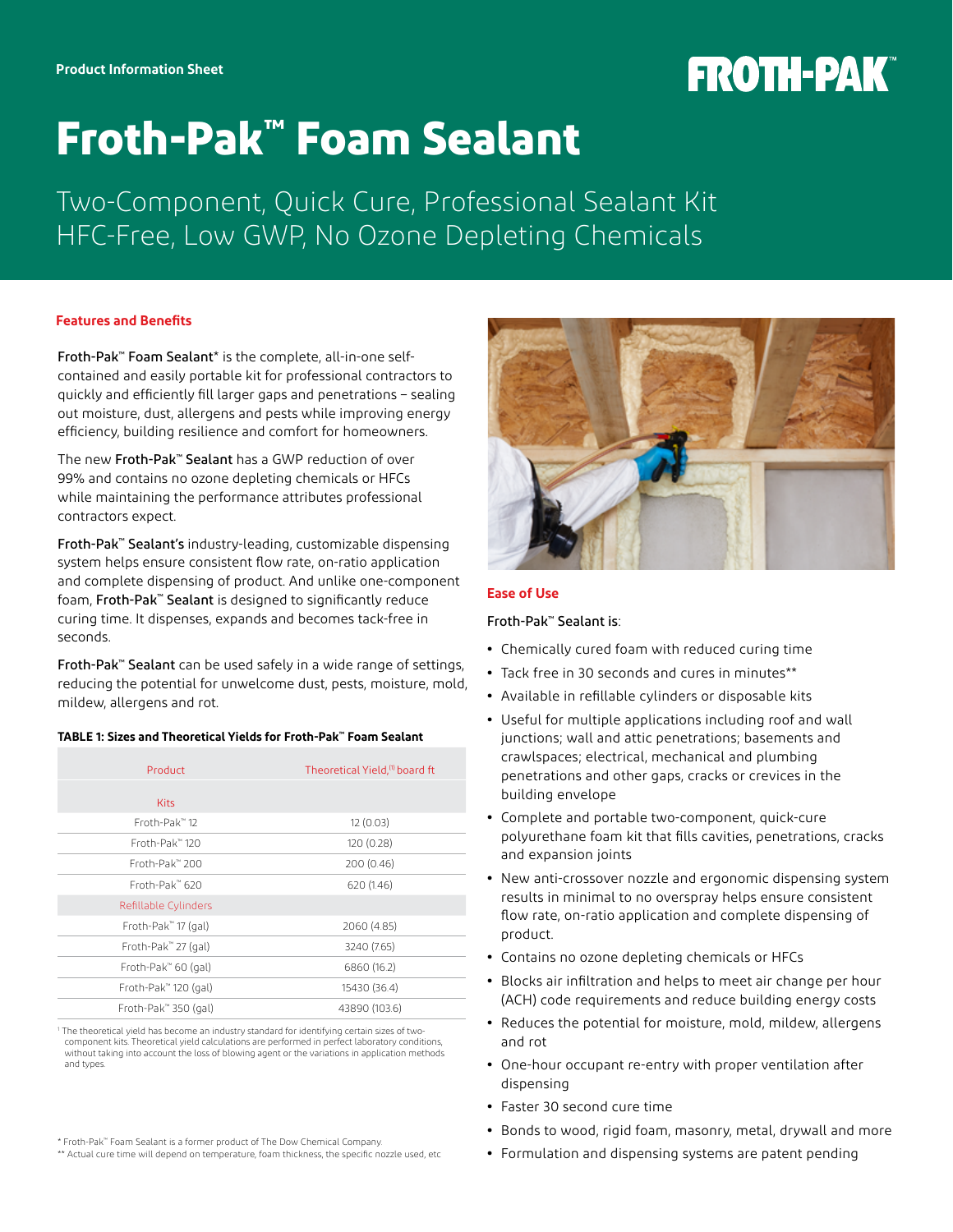# **FROTH-PAK®**

## **Froth-Pak™ Foam Sealant**

Two-Component, Quick Cure, Professional Sealant Kit HFC-Free, Low GWP, No Ozone Depleting Chemicals

## **Features and Benefits**

Froth-Pak™ Foam Sealant\* is the complete, all-in-one selfcontained and easily portable kit for professional contractors to quickly and efficiently fill larger gaps and penetrations – sealing out moisture, dust, allergens and pests while improving energy efficiency, building resilience and comfort for homeowners.

The new Froth-Pak™ Sealant has a GWP reduction of over 99% and contains no ozone depleting chemicals or HFCs while maintaining the performance attributes professional contractors expect.

Froth-Pak™ Sealant's industry-leading, customizable dispensing system helps ensure consistent flow rate, on-ratio application and complete dispensing of product. And unlike one-component foam, Froth-Pak™ Sealant is designed to significantly reduce curing time. It dispenses, expands and becomes tack-free in seconds.

Froth-Pak™ Sealant can be used safely in a wide range of settings, reducing the potential for unwelcome dust, pests, moisture, mold, mildew, allergens and rot.

## **TABLE 1: Sizes and Theoretical Yields for Froth-Pak™ Foam Sealant**

| Product                    | Theoretical Yield, <sup>(1)</sup> board ft |
|----------------------------|--------------------------------------------|
| <b>Kits</b>                |                                            |
| Froth-Pak™12               | 12(0.03)                                   |
| Froth-Pak™ 120             | 120 (0.28)                                 |
| Froth-Pak™ 200             | 200 (0.46)                                 |
| Froth-Pak <sup>*</sup> 620 | 620 (1.46)                                 |
| Refillable Cylinders       |                                            |
| Froth-Pak" 17 (gal)        | 2060 (4.85)                                |
| Froth-Pak" 27 (gal)        | 3240 (7.65)                                |
| Froth-Pak" 60 (gal)        | 6860 (16.2)                                |
| Froth-Pak™ 120 (gal)       | 15430 (36.4)                               |
| Froth-Pak" 350 (gal)       | 43890 (103.6)                              |

1 The theoretical yield has become an industry standard for identifying certain sizes of two component kits. Theoretical yield calculations are performed in perfect laboratory conditions, without taking into account the loss of blowing agent or the variations in application methods and types.

\* Froth-Pak™ Foam Sealant is a former product of The Dow Chemical Company.

\*\* Actual cure time will depend on temperature, foam thickness, the specific nozzle used, etc



## **Ease of Use**

## Froth-Pak™ Sealant is:

- **•** Chemically cured foam with reduced curing time
- **•** Tack free in 30 seconds and cures in minutes\*\*
- **•** Available in refillable cylinders or disposable kits
- **•** Useful for multiple applications including roof and wall junctions; wall and attic penetrations; basements and crawlspaces; electrical, mechanical and plumbing penetrations and other gaps, cracks or crevices in the building envelope
- **•** Complete and portable two-component, quick-cure polyurethane foam kit that fills cavities, penetrations, cracks and expansion joints
- **•** New anti-crossover nozzle and ergonomic dispensing system results in minimal to no overspray helps ensure consistent flow rate, on-ratio application and complete dispensing of product.
- **•** Contains no ozone depleting chemicals or HFCs
- **•** Blocks air infiltration and helps to meet air change per hour (ACH) code requirements and reduce building energy costs
- **•** Reduces the potential for moisture, mold, mildew, allergens and rot
- **•** One-hour occupant re-entry with proper ventilation after dispensing
- **•** Faster 30 second cure time
- **•** Bonds to wood, rigid foam, masonry, metal, drywall and more
- **•** Formulation and dispensing systems are patent pending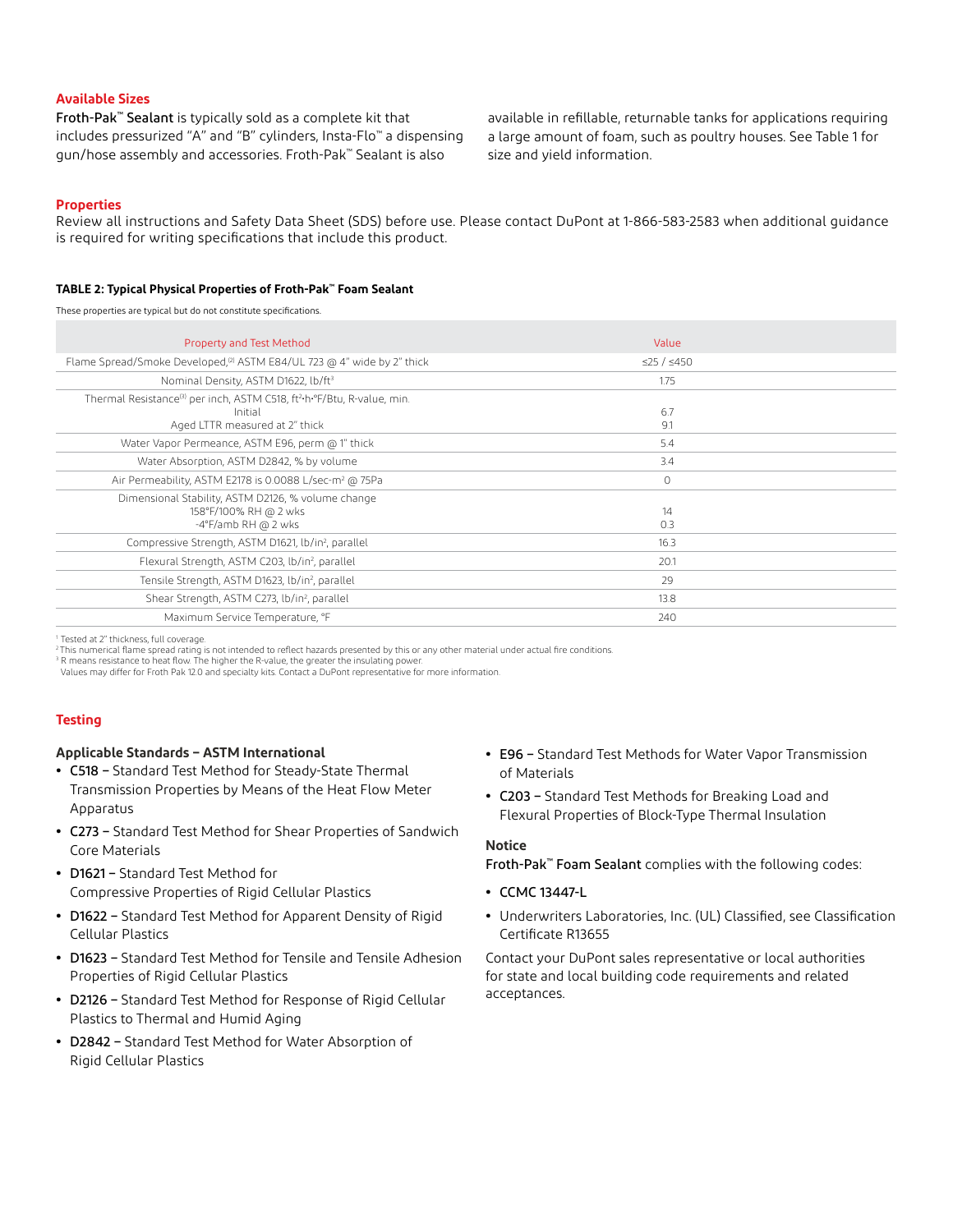## **Available Sizes**

Froth-Pak™ Sealant is typically sold as a complete kit that includes pressurized "A" and "B" cylinders, Insta-Flo™ a dispensing gun/hose assembly and accessories. Froth-Pak™ Sealant is also

available in refillable, returnable tanks for applications requiring a large amount of foam, such as poultry houses. See Table 1 for size and yield information.

#### **Properties**

Review all instructions and Safety Data Sheet (SDS) before use. Please contact DuPont at 1-866-583-2583 when additional guidance is required for writing specifications that include this product.

#### **TABLE 2: Typical Physical Properties of Froth-Pak™ Foam Sealant**

These properties are typical but do not constitute specifications.

| <b>Property and Test Method</b>                                                                 | Value      |  |
|-------------------------------------------------------------------------------------------------|------------|--|
| Flame Spread/Smoke Developed, <sup>(2)</sup> ASTM E84/UL 723 @ 4" wide by 2" thick              | ≤25 / ≤450 |  |
| Nominal Density, ASTM D1622, lb/ft <sup>3</sup>                                                 | 1.75       |  |
| Thermal Resistance <sup>(3)</sup> per inch, ASTM C518, ft <sup>2</sup> -h·°F/Btu, R-value, min. |            |  |
| Initial                                                                                         | 6.7        |  |
| Aged LTTR measured at 2" thick                                                                  | 9.1        |  |
| Water Vapor Permeance, ASTM E96, perm @ 1" thick                                                | 5.4        |  |
| Water Absorption, ASTM D2842, % by volume                                                       | 3.4        |  |
| Air Permeability, ASTM E2178 is 0.0088 L/sec-m <sup>2</sup> @ 75Pa                              | $\circ$    |  |
| Dimensional Stability, ASTM D2126, % volume change                                              |            |  |
| 158°F/100% RH @ 2 wks                                                                           | 14         |  |
| -4°F/amb RH @ 2 wks                                                                             | 0.3        |  |
| Compressive Strength, ASTM D1621, lb/in <sup>2</sup> , parallel                                 | 16.3       |  |
| Flexural Strength, ASTM C203, lb/in <sup>2</sup> , parallel                                     | 20.1       |  |
| Tensile Strength, ASTM D1623, lb/in <sup>2</sup> , parallel                                     | 29         |  |
| Shear Strength, ASTM C273, lb/in <sup>2</sup> , parallel                                        | 13.8       |  |
| Maximum Service Temperature, °F                                                                 | 240        |  |
|                                                                                                 |            |  |

<sup>1</sup> Tested at 2" thickness, full coverage.

<sup>2</sup>This numerical flame spread rating is not intended to reflect hazards presented by this or any other material under actual fire conditions.<br><sup>3</sup> R means resistance to heat flow. The higher the R-value, the greater the in

Values may differ for Froth Pak 12.0 and specialty kits. Contact a DuPont representative for more information.

## **Testing**

#### **Applicable Standards – ASTM International**

- **•** C518 Standard Test Method for Steady-State Thermal Transmission Properties by Means of the Heat Flow Meter Apparatus
- **•** C273 Standard Test Method for Shear Properties of Sandwich Core Materials
- **•** D1621 Standard Test Method for Compressive Properties of Rigid Cellular Plastics
- **•** D1622 Standard Test Method for Apparent Density of Rigid Cellular Plastics
- **•** D1623 Standard Test Method for Tensile and Tensile Adhesion Properties of Rigid Cellular Plastics
- **•** D2126 Standard Test Method for Response of Rigid Cellular Plastics to Thermal and Humid Aging
- **•** D2842 Standard Test Method for Water Absorption of Rigid Cellular Plastics
- **•** E96 Standard Test Methods for Water Vapor Transmission of Materials
- **•** C203 Standard Test Methods for Breaking Load and Flexural Properties of Block-Type Thermal Insulation

#### **Notice**

Froth-Pak™ Foam Sealant complies with the following codes:

- **•** CCMC 13447-L
- **•** Underwriters Laboratories, Inc. (UL) Classified, see Classification Certificate R13655

Contact your DuPont sales representative or local authorities for state and local building code requirements and related acceptances.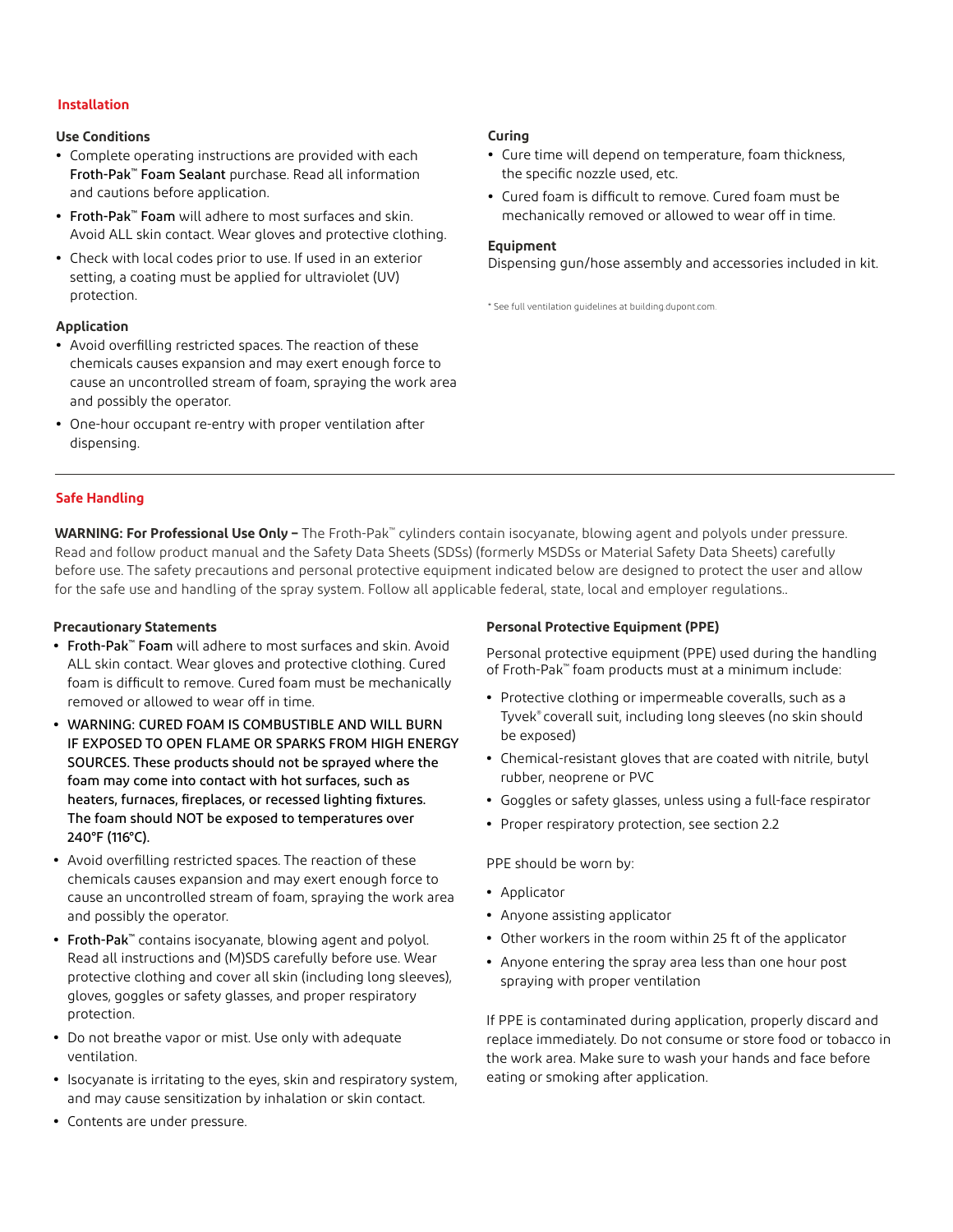## **Installation**

## **Use Conditions**

- **•** Complete operating instructions are provided with each Froth-Pak™ Foam Sealant purchase. Read all information and cautions before application.
- **•** Froth-Pak™ Foam will adhere to most surfaces and skin. Avoid ALL skin contact. Wear gloves and protective clothing.
- **•** Check with local codes prior to use. If used in an exterior setting, a coating must be applied for ultraviolet (UV) protection.

## **Application**

- **•** Avoid overfilling restricted spaces. The reaction of these chemicals causes expansion and may exert enough force to cause an uncontrolled stream of foam, spraying the work area and possibly the operator.
- **•** One-hour occupant re-entry with proper ventilation after dispensing.

## **Curing**

- **•** Cure time will depend on temperature, foam thickness, the specific nozzle used, etc.
- **•** Cured foam is difficult to remove. Cured foam must be mechanically removed or allowed to wear off in time.

## **Equipment**

Dispensing gun/hose assembly and accessories included in kit.

\* See full ventilation guidelines at [building.dupont.com.](http://building.dupont.com)

## **Safe Handling**

**WARNING: For Professional Use Only –** The Froth-Pak™ cylinders contain isocyanate, blowing agent and polyols under pressure. Read and follow product manual and the Safety Data Sheets (SDSs) (formerly MSDSs or Material Safety Data Sheets) carefully before use. The safety precautions and personal protective equipment indicated below are designed to protect the user and allow for the safe use and handling of the spray system. Follow all applicable federal, state, local and employer regulations..

## **Precautionary Statements**

- **•** Froth-Pak™ Foam will adhere to most surfaces and skin. Avoid ALL skin contact. Wear gloves and protective clothing. Cured foam is difficult to remove. Cured foam must be mechanically removed or allowed to wear off in time.
- **•** WARNING: CURED FOAM IS COMBUSTIBLE AND WILL BURN IF EXPOSED TO OPEN FLAME OR SPARKS FROM HIGH ENERGY SOURCES. These products should not be sprayed where the foam may come into contact with hot surfaces, such as heaters, furnaces, fireplaces, or recessed lighting fixtures. The foam should NOT be exposed to temperatures over 240°F (116°C).
- **•** Avoid overfilling restricted spaces. The reaction of these chemicals causes expansion and may exert enough force to cause an uncontrolled stream of foam, spraying the work area and possibly the operator.
- **•** Froth-Pak™ contains isocyanate, blowing agent and polyol. Read all instructions and (M)SDS carefully before use. Wear protective clothing and cover all skin (including long sleeves), gloves, goggles or safety glasses, and proper respiratory protection.
- **•** Do not breathe vapor or mist. Use only with adequate ventilation.
- **•** Isocyanate is irritating to the eyes, skin and respiratory system, and may cause sensitization by inhalation or skin contact.

## **•** Contents are under pressure.

## **Personal Protective Equipment (PPE)**

Personal protective equipment (PPE) used during the handling of Froth-Pak™ foam products must at a minimum include:

- **•** Protective clothing or impermeable coveralls, such as a Tyvek® coverall suit, including long sleeves (no skin should be exposed)
- **•** Chemical-resistant gloves that are coated with nitrile, butyl rubber, neoprene or PVC
- **•** Goggles or safety glasses, unless using a full-face respirator
- **•** Proper respiratory protection, see section 2.2

PPE should be worn by:

- **•** Applicator
- **•** Anyone assisting applicator
- **•** Other workers in the room within 25 ft of the applicator
- **•** Anyone entering the spray area less than one hour post spraying with proper ventilation

If PPE is contaminated during application, properly discard and replace immediately. Do not consume or store food or tobacco in the work area. Make sure to wash your hands and face before eating or smoking after application.